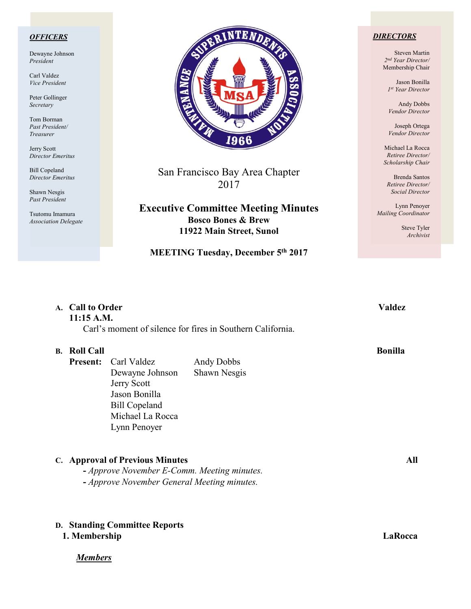### *OFFICERS*

Dewayne Johnson *President*

Carl Valdez *Vice President*

Peter Gollinger *Secretary*

Tom Borman *Past President/ Treasurer*

Jerry Scott *Director Emeritus*

Bill Copeland *Director Emeritus*

Shawn Nesgis *Past President*

Tsutomu Imamura *Association Delegate*



San Francisco Bay Area Chapter 2017

**Executive Committee Meeting Minutes Bosco Bones & Brew 11922 Main Street, Sunol**

# **MEETING Tuesday, December 5th 2017**

### *DIRECTORS*

Steven Martin *2nd Year Director/*  Membership Chair

Jason Bonilla *1st Year Director*

Andy Dobbs *Vendor Director*

Joseph Ortega *Vendor Director*

Michael La Rocca *Retiree Director/ Scholarship Chair*

Brenda Santos *Retiree Director/ Social Director*

Lynn Penoyer *Mailing Coordinator*

> Steve Tyler *Archivist*

### **A. Call to Order Valdez 11:15 A.M.**

Carl's moment of silence for fires in Southern California.

### **B. Roll Call Bonilla**

**Present:** Carl Valdez Andy Dobbs Dewayne Johnson Shawn Nesgis Jerry Scott Jason Bonilla Bill Copeland Michael La Rocca Lynn Penoyer

### **C. Approval of Previous Minutes All**

**-** *Approve November E-Comm. Meeting minutes.*  **-** *Approve November General Meeting minutes.*

# **D. Standing Committee Reports**

### **1. Membership LaRocca**

*Members*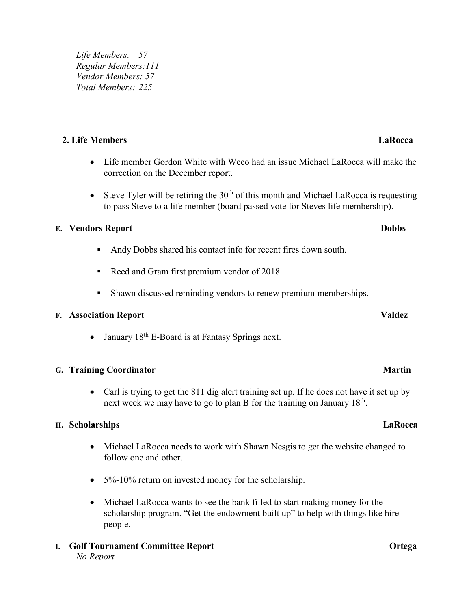*Life Members: 57 Regular Members:111 Vendor Members: 57 Total Members: 225*

# **2. Life Members LaRocca**

- Life member Gordon White with Weco had an issue Michael LaRocca will make the correction on the December report.
- Steve Tyler will be retiring the  $30<sup>th</sup>$  of this month and Michael LaRocca is requesting to pass Steve to a life member (board passed vote for Steves life membership).

# **E. Vendors Report Dobbs**

- Andy Dobbs shared his contact info for recent fires down south.
- Reed and Gram first premium vendor of 2018.
- Shawn discussed reminding vendors to renew premium memberships.

# **F. Association Report Valdez**

• January  $18<sup>th</sup>$  E-Board is at Fantasy Springs next.

# **G. Training Coordinator** Martin

• Carl is trying to get the 811 dig alert training set up. If he does not have it set up by next week we may have to go to plan B for the training on January 18<sup>th</sup>.

### **H. Scholarships LaRocca**

- Michael LaRocca needs to work with Shawn Nesgis to get the website changed to follow one and other.
- 5%-10% return on invested money for the scholarship.
- Michael LaRocca wants to see the bank filled to start making money for the scholarship program. "Get the endowment built up" to help with things like hire people.
- **I. Golf Tournament Committee Report Ortega** *No Report.*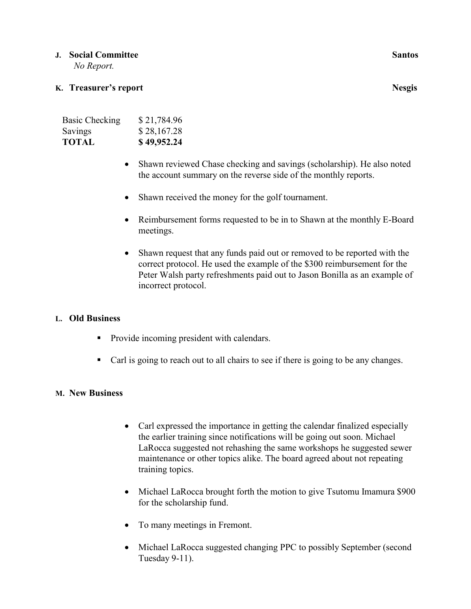## **J. Social Committee Santos <b>Santos Santos Santos**

 *No Report.*

# **K. Treasurer's report** Nesgis

| <b>Basic Checking</b> | \$21,784.96 |
|-----------------------|-------------|
| Savings               | \$28,167.28 |
| <b>TOTAL</b>          | \$49,952.24 |

- Shawn reviewed Chase checking and savings (scholarship). He also noted the account summary on the reverse side of the monthly reports.
- Shawn received the money for the golf tournament.
- Reimbursement forms requested to be in to Shawn at the monthly E-Board meetings.
- Shawn request that any funds paid out or removed to be reported with the correct protocol. He used the example of the \$300 reimbursement for the Peter Walsh party refreshments paid out to Jason Bonilla as an example of incorrect protocol.

# **L. Old Business**

- Provide incoming president with calendars.
- Carl is going to reach out to all chairs to see if there is going to be any changes.

### **M. New Business**

- Carl expressed the importance in getting the calendar finalized especially the earlier training since notifications will be going out soon. Michael LaRocca suggested not rehashing the same workshops he suggested sewer maintenance or other topics alike. The board agreed about not repeating training topics.
- Michael LaRocca brought forth the motion to give Tsutomu Imamura \$900 for the scholarship fund.
- To many meetings in Fremont.
- Michael LaRocca suggested changing PPC to possibly September (second Tuesday 9-11).